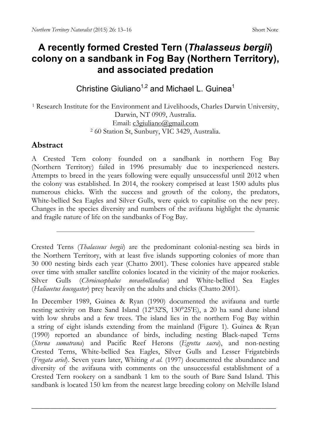## **A recently formed Crested Tern (***Thalasseus bergii***) colony on a sandbank in Fog Bay (Northern Territory), and associated predation**

Christine Giuliano<sup>1,2</sup> and Michael L. Guinea<sup>1</sup>

<sup>1</sup> Research Institute for the Environment and Livelihoods, Charles Darwin University, Darwin, NT 0909, Australia. Email: [c3giuliano@gmail.com](mailto:c3giuliano@gmail.com) <sup>2</sup> 60 Station St, Sunbury, VIC 3429, Australia.

## **Abstract**

A Crested Tern colony founded on a sandbank in northern Fog Bay (Northern Territory) failed in 1996 presumably due to inexperienced nesters. Attempts to breed in the years following were equally unsuccessful until 2012 when the colony was established. In 2014, the rookery comprised at least 1500 adults plus numerous chicks. With the success and growth of the colony, the predators, White-bellied Sea Eagles and Silver Gulls, were quick to capitalise on the new prey. Changes in the species diversity and numbers of the avifauna highlight the dynamic and fragile nature of life on the sandbanks of Fog Bay.

Crested Terns (*Thalasseus bergii*) are the predominant colonial-nesting sea birds in the Northern Territory, with at least five islands supporting colonies of more than 30 000 nesting birds each year (Chatto 2001). These colonies have appeared stable over time with smaller satellite colonies located in the vicinity of the major rookeries. Silver Gulls (*Chroicocephalus novaehollandiae*) and White-bellied Sea Eagles (*Haliaeetus leucogaster*) prey heavily on the adults and chicks (Chatto 2001).

In December 1989, Guinea & Ryan (1990) documented the avifauna and turtle nesting activity on Bare Sand Island (12°32'S, 130°25'E), a 20 ha sand dune island with low shrubs and a few trees. The island lies in the northern Fog Bay within a string of eight islands extending from the mainland (Figure 1). Guinea & Ryan (1990) reported an abundance of birds, including nesting Black-naped Terns (*Sterna sumatrana*) and Pacific Reef Herons (*Egretta sacra*), and non-nesting Crested Terns, White-bellied Sea Eagles, Silver Gulls and Lesser Frigatebirds (*Fregata ariel*). Seven years later, Whiting *et al*. (1997) documented the abundance and diversity of the avifauna with comments on the unsuccessful establishment of a Crested Tern rookery on a sandbank 1 km to the south of Bare Sand Island. This sandbank is located 150 km from the nearest large breeding colony on Melville Island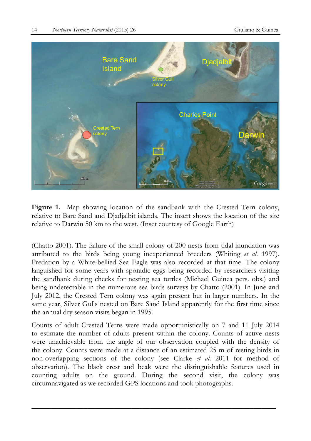

**Figure 1.** Map showing location of the sandbank with the Crested Tern colony, relative to Bare Sand and Djadjalbit islands. The insert shows the location of the site relative to Darwin 50 km to the west. (Inset courtesy of Google Earth)

(Chatto 2001). The failure of the small colony of 200 nests from tidal inundation was attributed to the birds being young inexperienced breeders (Whiting *et al*. 1997). Predation by a White-bellied Sea Eagle was also recorded at that time. The colony languished for some years with sporadic eggs being recorded by researchers visiting the sandbank during checks for nesting sea turtles (Michael Guinea pers. obs.) and being undetectable in the numerous sea birds surveys by Chatto (2001). In June and July 2012, the Crested Tern colony was again present but in larger numbers. In the same year, Silver Gulls nested on Bare Sand Island apparently for the first time since the annual dry season visits began in 1995.

Counts of adult Crested Terns were made opportunistically on 7 and 11 July 2014 to estimate the number of adults present within the colony. Counts of active nests were unachievable from the angle of our observation coupled with the density of the colony. Counts were made at a distance of an estimated 25 m of resting birds in non-overlapping sections of the colony (see Clarke *et al*. 2011 for method of observation). The black crest and beak were the distinguishable features used in counting adults on the ground. During the second visit, the colony was circumnavigated as we recorded GPS locations and took photographs.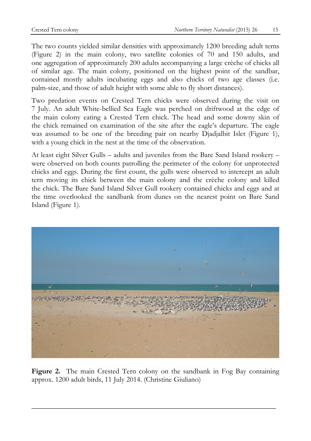The two counts yielded similar densities with approximately 1200 breeding adult terns (Figure 2) in the main colony, two satellite colonies of 70 and 150 adults, and one aggregation of approximately 200 adults accompanying a large crèche of chicks all of similar age. The main colony, positioned on the highest point of the sandbar, contained mostly adults incubating eggs and also chicks of two age classes (i.e. palm-size, and those of adult height with some able to fly short distances).

Two predation events on Crested Tern chicks were observed during the visit on 7 July. An adult White-bellied Sea Eagle was perched on driftwood at the edge of the main colony eating a Crested Tern chick. The head and some downy skin of the chick remained on examination of the site after the eagle's departure. The eagle was assumed to be one of the breeding pair on nearby Djadjalbit Islet (Figure 1), with a young chick in the nest at the time of the observation.

At least eight Silver Gulls – adults and juveniles from the Bare Sand Island rookery – were observed on both counts patrolling the perimeter of the colony for unprotected chicks and eggs. During the first count, the gulls were observed to intercept an adult tern moving its chick between the main colony and the crèche colony and killed the chick. The Bare Sand Island Silver Gull rookery contained chicks and eggs and at the time overlooked the sandbank from dunes on the nearest point on Bare Sand Island (Figure 1).



Figure 2. The main Crested Tern colony on the sandbank in Fog Bay containing approx. 1200 adult birds, 11 July 2014. (Christine Giuliano)